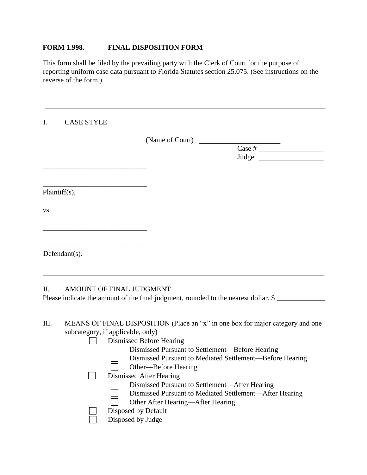## **FORM 1.998. FINAL DISPOSITION FORM**

This form shall be filed by the prevailing party with the Clerk of Court for the purpose of reporting uniform case data pursuant to Florida Statutes section 25.075. (See instructions on the reverse of the form.)

|                                                                                           | (Name of Court)                                                                     |                            |  |
|-------------------------------------------------------------------------------------------|-------------------------------------------------------------------------------------|----------------------------|--|
|                                                                                           |                                                                                     | $\overline{\text{Case H}}$ |  |
|                                                                                           |                                                                                     | Judge                      |  |
|                                                                                           |                                                                                     |                            |  |
|                                                                                           |                                                                                     |                            |  |
| Plaintiff(s),                                                                             |                                                                                     |                            |  |
| VS.                                                                                       |                                                                                     |                            |  |
|                                                                                           |                                                                                     |                            |  |
| the control of the control of the control of the control of the control of the control of |                                                                                     |                            |  |
| Defendant(s).                                                                             |                                                                                     |                            |  |
|                                                                                           |                                                                                     |                            |  |
| II. AMOUNT OF FINAL JUDGMENT                                                              |                                                                                     |                            |  |
|                                                                                           | Please indicate the amount of the final judgment, rounded to the nearest dollar. \$ |                            |  |

III. MEANS OF FINAL DISPOSITION (Place an "x" in one box for major category and one subcategory, if applicable, only)

| Dismissed Before Hearing                                 |
|----------------------------------------------------------|
| Dismissed Pursuant to Settlement—Before Hearing          |
| Dismissed Pursuant to Mediated Settlement—Before Hearing |
| Other—Before Hearing                                     |
| Dismissed After Hearing                                  |
| Dismissed Pursuant to Settlement—After Hearing           |
| Dismissed Pursuant to Mediated Settlement—After Hearing  |
| Other After Hearing—After Hearing                        |
| Disposed by Default                                      |
| Disposed by Judge                                        |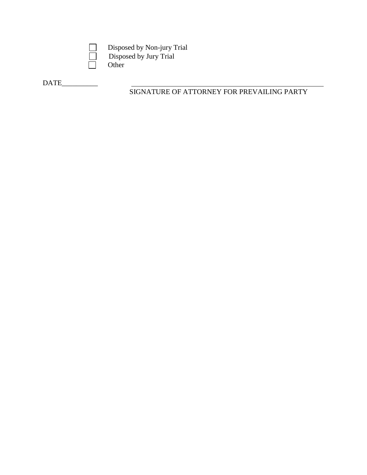Disposed by Non-jury Trial Disposed by Jury Trial **Other** 

 $\begin{tabular}{|c|c|c|} \hline \multicolumn{3}{|c|}{\textbf{DATE}} & \multicolumn{3}{|c|}{\textbf{DATE}} \\ \hline \multicolumn{3}{|c|}{\textbf{DATE}} & \multicolumn{3}{|c|}{\textbf{DATE}} \\ \hline \multicolumn{3}{|c|}{\textbf{DATE}} & \multicolumn{3}{|c|}{\textbf{DATE}} \\ \hline \multicolumn{3}{|c|}{\textbf{DATE}} & \multicolumn{3}{|c|}{\textbf{DATE}} \\ \hline \multicolumn{3}{|c|}{\textbf{DATE}} & \multicolumn{3}{|c|}{\textbf{DATE}} \\ \$ 

SIGNATURE OF ATTORNEY FOR PREVAILING PARTY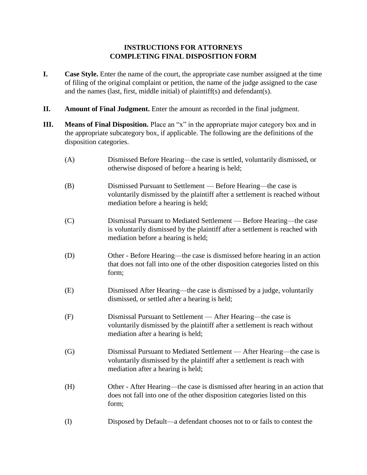## **INSTRUCTIONS FOR ATTORNEYS COMPLETING FINAL DISPOSITION FORM**

- **I. Case Style.** Enter the name of the court, the appropriate case number assigned at the time of filing of the original complaint or petition, the name of the judge assigned to the case and the names (last, first, middle initial) of plaintiff(s) and defendant(s).
- **II. Amount of Final Judgment.** Enter the amount as recorded in the final judgment.
- **III.** Means of Final Disposition. Place an "x" in the appropriate major category box and in the appropriate subcategory box, if applicable. The following are the definitions of the disposition categories.
	- (A) Dismissed Before Hearing—the case is settled, voluntarily dismissed, or otherwise disposed of before a hearing is held; (B) Dismissed Pursuant to Settlement — Before Hearing—the case is voluntarily dismissed by the plaintiff after a settlement is reached without mediation before a hearing is held; (C) Dismissal Pursuant to Mediated Settlement — Before Hearing—the case is voluntarily dismissed by the plaintiff after a settlement is reached with mediation before a hearing is held; (D) Other - Before Hearing—the case is dismissed before hearing in an action that does not fall into one of the other disposition categories listed on this form; (E) Dismissed After Hearing—the case is dismissed by a judge, voluntarily dismissed, or settled after a hearing is held; (F) Dismissal Pursuant to Settlement — After Hearing—the case is voluntarily dismissed by the plaintiff after a settlement is reach without mediation after a hearing is held; (G) Dismissal Pursuant to Mediated Settlement — After Hearing—the case is voluntarily dismissed by the plaintiff after a settlement is reach with mediation after a hearing is held; (H) Other - After Hearing—the case is dismissed after hearing in an action that does not fall into one of the other disposition categories listed on this form;
	- (I) Disposed by Default—a defendant chooses not to or fails to contest the